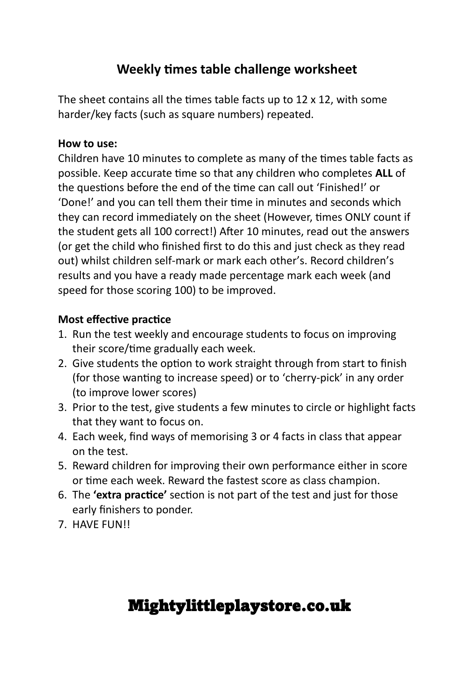### **Weekly times table challenge worksheet**

The sheet contains all the times table facts up to 12 x 12, with some harder/key facts (such as square numbers) repeated.

#### **How to use:**

Children have 10 minutes to complete as many of the times table facts as possible. Keep accurate time so that any children who completes **ALL** of the questions before the end of the time can call out 'Finished!' or 'Done!' and you can tell them their time in minutes and seconds which they can record immediately on the sheet (However, times ONLY count if the student gets all 100 correct!) After 10 minutes, read out the answers (or get the child who finished first to do this and just check as they read out) whilst children self-mark or mark each other's. Record children's results and you have a ready made percentage mark each week (and speed for those scoring 100) to be improved.

#### **Most effective practice**

- 1. Run the test weekly and encourage students to focus on improving their score/time gradually each week.
- 2. Give students the option to work straight through from start to finish (for those wanting to increase speed) or to 'cherry-pick' in any order (to improve lower scores)
- 3. Prior to the test, give students a few minutes to circle or highlight facts that they want to focus on.
- 4. Each week, find ways of memorising 3 or 4 facts in class that appear on the test.
- 5. Reward children for improving their own performance either in score or time each week. Reward the fastest score as class champion.
- 6. The **'extra practice'** section is not part of the test and just for those early finishers to ponder.
- 7. HAVE FUN!!

## Mightylittleplaystore.co.uk